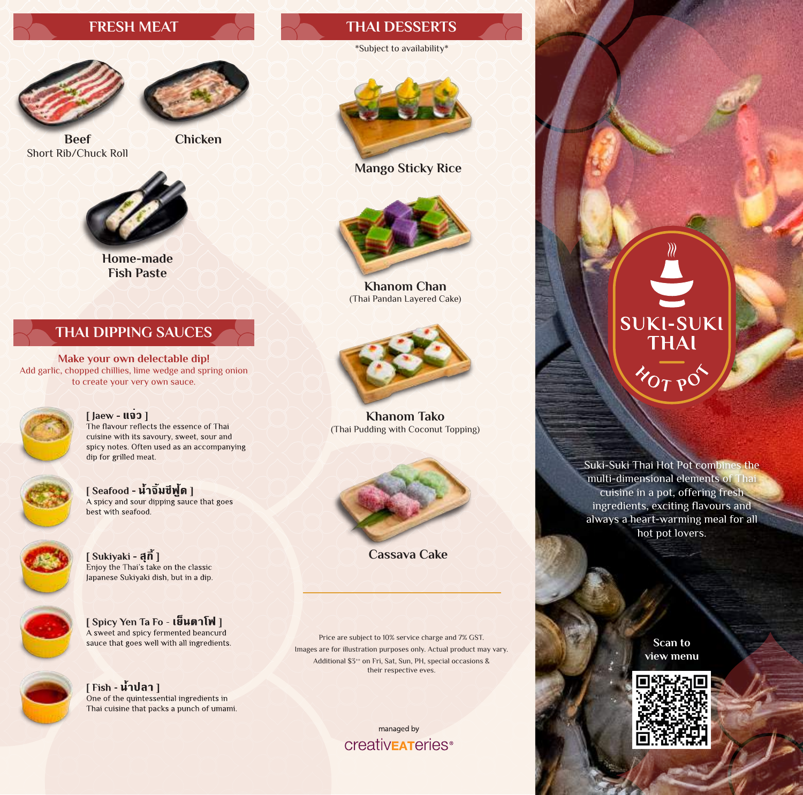



**Beef** Short Rib/Chuck Roll **Chicken**



**Home-made Fish Paste**

#### **THAI DIPPING SAUCES**

**Make your own delectable dip!**  Add garlic, chopped chillies, lime wedge and spring onion to create your very own sauce.



#### $[$  Jaew -  $\mathbf{1}$ 100 The flavour reflects the essence of Thai cuisine with its savoury, sweet, sour and

spicy notes. Often used as an accompanying dip for grilled meat.



 $[$  Seafood - น้ำจิ้มชีพู้ด ] A spicy and sour dipping sauce that goes best with seafood.



[ Spicy Yen Ta Fo - เย็นตาโฟ ] A sweet and spicy fermented beancurd sauce that goes well with all ingredients.



#### **FRESH MEAT THAI DESSERTS**

#### \*Subject to availability\*



**Mango Sticky Rice** 



**Khanom Chan** (Thai Pandan Layered Cake)



**Khanom Tako** (Thai Pudding with Coconut Topping)



**Cassava Cake** 

Price are subject to 10% service charge and 7% GST. Images are for illustration purposes only. Actual product may vary. Additional \$3<sup>++</sup> on Fri, Sat, Sun, PH, special occasions & their respective eves.

> managed by **CreativEATeries**<sup>®</sup>

## **SUKI-SUKI<br>THAI**  $\gamma_{O}$   $_{\gamma}$   $_{\rm O}$

Suki-Suki Thai Hot Pot combines the multi-dimensional elements of Thai cuisine in a pot, offering fresh ingredients, exciting flavours and always a heart-warming meal for all hot pot lovers.